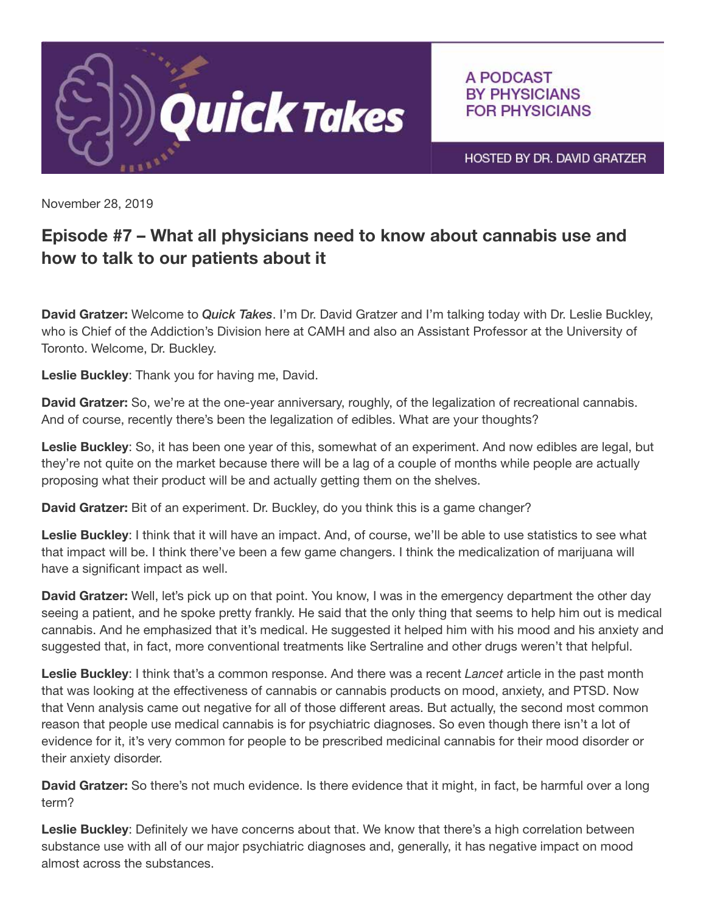

A PODCAST **BY PHYSICIANS FOR PHYSICIANS** 

HOSTED BY DR. DAVID GRATZER

November 28, 2019

## Episode #7 – What all physicians need to know about cannabis use and how to talk to our patients about it

David Gratzer: Welcome to *Quick Takes*. I'm Dr. David Gratzer and I'm talking today with Dr. Leslie Buckley, who is Chief of the Addiction's Division here at CAMH and also an Assistant Professor at the University of Toronto. Welcome, Dr. Buckley.

Leslie Buckley: Thank you for having me, David.

David Gratzer: So, we're at the one-year anniversary, roughly, of the legalization of recreational cannabis. And of course, recently there's been the legalization of edibles. What are your thoughts?

Leslie Buckley: So, it has been one year of this, somewhat of an experiment. And now edibles are legal, but they're not quite on the market because there will be a lag of a couple of months while people are actually proposing what their product will be and actually getting them on the shelves.

David Gratzer: Bit of an experiment. Dr. Buckley, do you think this is a game changer?

Leslie Buckley: I think that it will have an impact. And, of course, we'll be able to use statistics to see what that impact will be. I think there've been a few game changers. I think the medicalization of marijuana will have a significant impact as well.

**David Gratzer:** Well, let's pick up on that point. You know, I was in the emergency department the other day seeing a patient, and he spoke pretty frankly. He said that the only thing that seems to help him out is medical cannabis. And he emphasized that it's medical. He suggested it helped him with his mood and his anxiety and suggested that, in fact, more conventional treatments like Sertraline and other drugs weren't that helpful.

Leslie Buckley: I think that's a common response. And there was a recent *Lancet* article in the past month that was looking at the effectiveness of cannabis or cannabis products on mood, anxiety, and PTSD. Now that Venn analysis came out negative for all of those different areas. But actually, the second most common reason that people use medical cannabis is for psychiatric diagnoses. So even though there isn't a lot of evidence for it, it's very common for people to be prescribed medicinal cannabis for their mood disorder or their anxiety disorder.

David Gratzer: So there's not much evidence. Is there evidence that it might, in fact, be harmful over a long term?

Leslie Buckley: Definitely we have concerns about that. We know that there's a high correlation between substance use with all of our major psychiatric diagnoses and, generally, it has negative impact on mood almost across the substances.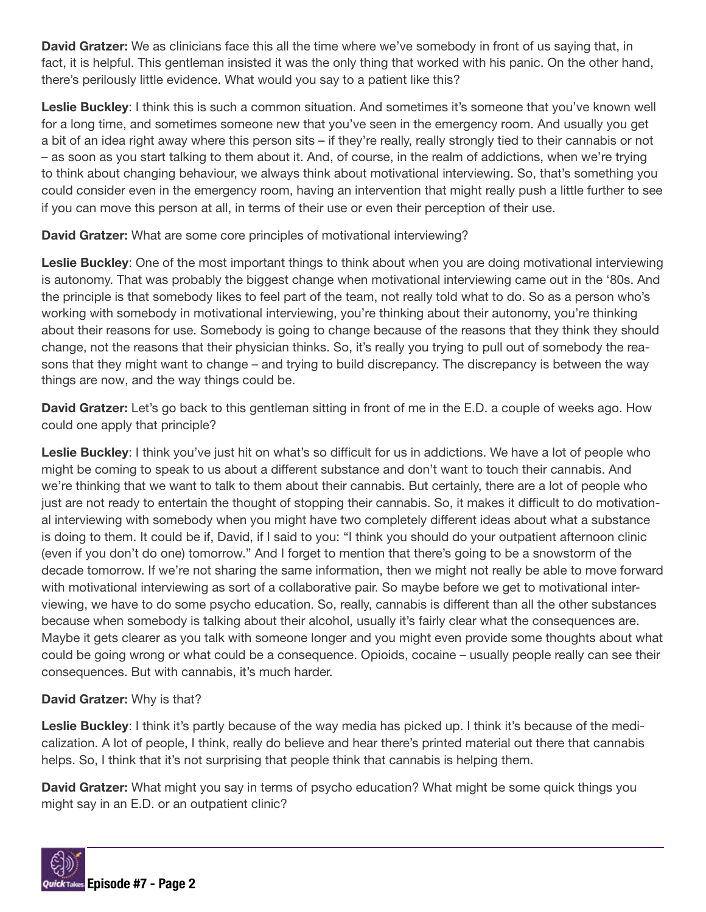**David Gratzer:** We as clinicians face this all the time where we've somebody in front of us saying that, in fact, it is helpful. This gentleman insisted it was the only thing that worked with his panic. On the other hand, there's perilously little evidence. What would you say to a patient like this?

Leslie Buckley: I think this is such a common situation. And sometimes it's someone that you've known well for a long time, and sometimes someone new that you've seen in the emergency room. And usually you get a bit of an idea right away where this person sits – if they're really, really strongly tied to their cannabis or not – as soon as you start talking to them about it. And, of course, in the realm of addictions, when we're trying to think about changing behaviour, we always think about motivational interviewing. So, that's something you could consider even in the emergency room, having an intervention that might really push a little further to see if you can move this person at all, in terms of their use or even their perception of their use.

David Gratzer: What are some core principles of motivational interviewing?

Leslie Buckley: One of the most important things to think about when you are doing motivational interviewing is autonomy. That was probably the biggest change when motivational interviewing came out in the '80s. And the principle is that somebody likes to feel part of the team, not really told what to do. So as a person who's working with somebody in motivational interviewing, you're thinking about their autonomy, you're thinking about their reasons for use. Somebody is going to change because of the reasons that they think they should change, not the reasons that their physician thinks. So, it's really you trying to pull out of somebody the reasons that they might want to change – and trying to build discrepancy. The discrepancy is between the way things are now, and the way things could be.

David Gratzer: Let's go back to this gentleman sitting in front of me in the E.D. a couple of weeks ago. How could one apply that principle?

Leslie Buckley: I think you've just hit on what's so difficult for us in addictions. We have a lot of people who might be coming to speak to us about a different substance and don't want to touch their cannabis. And we're thinking that we want to talk to them about their cannabis. But certainly, there are a lot of people who just are not ready to entertain the thought of stopping their cannabis. So, it makes it difficult to do motivational interviewing with somebody when you might have two completely different ideas about what a substance is doing to them. It could be if, David, if I said to you: "I think you should do your outpatient afternoon clinic (even if you don't do one) tomorrow." And I forget to mention that there's going to be a snowstorm of the decade tomorrow. If we're not sharing the same information, then we might not really be able to move forward with motivational interviewing as sort of a collaborative pair. So maybe before we get to motivational interviewing, we have to do some psycho education. So, really, cannabis is different than all the other substances because when somebody is talking about their alcohol, usually it's fairly clear what the consequences are. Maybe it gets clearer as you talk with someone longer and you might even provide some thoughts about what could be going wrong or what could be a consequence. Opioids, cocaine – usually people really can see their consequences. But with cannabis, it's much harder.

## David Gratzer: Why is that?

Leslie Buckley: I think it's partly because of the way media has picked up. I think it's because of the medicalization. A lot of people, I think, really do believe and hear there's printed material out there that cannabis helps. So, I think that it's not surprising that people think that cannabis is helping them.

**David Gratzer:** What might you say in terms of psycho education? What might be some quick things you might say in an E.D. or an outpatient clinic?

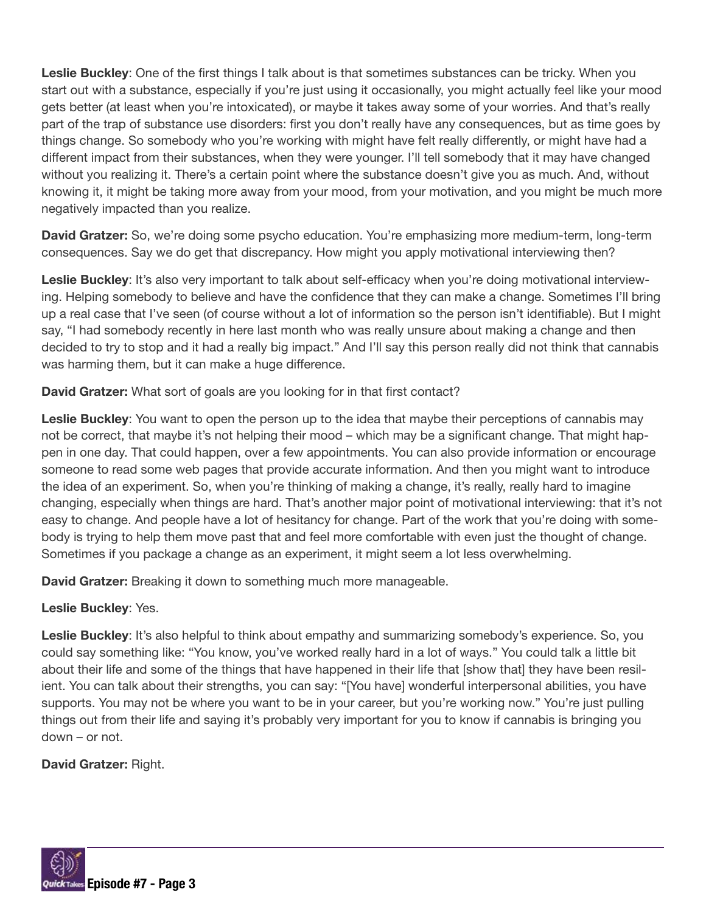Leslie Buckley: One of the first things I talk about is that sometimes substances can be tricky. When you start out with a substance, especially if you're just using it occasionally, you might actually feel like your mood gets better (at least when you're intoxicated), or maybe it takes away some of your worries. And that's really part of the trap of substance use disorders: first you don't really have any consequences, but as time goes by things change. So somebody who you're working with might have felt really differently, or might have had a different impact from their substances, when they were younger. I'll tell somebody that it may have changed without you realizing it. There's a certain point where the substance doesn't give you as much. And, without knowing it, it might be taking more away from your mood, from your motivation, and you might be much more negatively impacted than you realize.

David Gratzer: So, we're doing some psycho education. You're emphasizing more medium-term, long-term consequences. Say we do get that discrepancy. How might you apply motivational interviewing then?

Leslie Buckley: It's also very important to talk about self-efficacy when you're doing motivational interviewing. Helping somebody to believe and have the confidence that they can make a change. Sometimes I'll bring up a real case that I've seen (of course without a lot of information so the person isn't identifiable). But I might say, "I had somebody recently in here last month who was really unsure about making a change and then decided to try to stop and it had a really big impact." And I'll say this person really did not think that cannabis was harming them, but it can make a huge difference.

David Gratzer: What sort of goals are you looking for in that first contact?

Leslie Buckley: You want to open the person up to the idea that maybe their perceptions of cannabis may not be correct, that maybe it's not helping their mood – which may be a significant change. That might happen in one day. That could happen, over a few appointments. You can also provide information or encourage someone to read some web pages that provide accurate information. And then you might want to introduce the idea of an experiment. So, when you're thinking of making a change, it's really, really hard to imagine changing, especially when things are hard. That's another major point of motivational interviewing: that it's not easy to change. And people have a lot of hesitancy for change. Part of the work that you're doing with somebody is trying to help them move past that and feel more comfortable with even just the thought of change. Sometimes if you package a change as an experiment, it might seem a lot less overwhelming.

**David Gratzer:** Breaking it down to something much more manageable.

## Leslie Buckley: Yes.

Leslie Buckley: It's also helpful to think about empathy and summarizing somebody's experience. So, you could say something like: "You know, you've worked really hard in a lot of ways." You could talk a little bit about their life and some of the things that have happened in their life that [show that] they have been resilient. You can talk about their strengths, you can say: "[You have] wonderful interpersonal abilities, you have supports. You may not be where you want to be in your career, but you're working now." You're just pulling things out from their life and saying it's probably very important for you to know if cannabis is bringing you down – or not.

David Gratzer: Right.

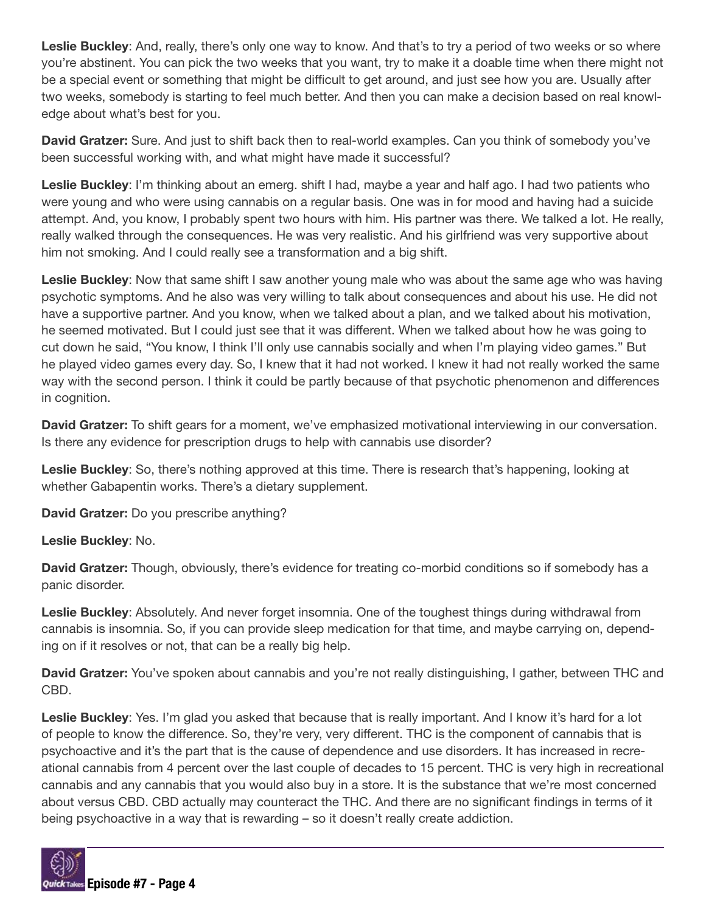Leslie Buckley: And, really, there's only one way to know. And that's to try a period of two weeks or so where you're abstinent. You can pick the two weeks that you want, try to make it a doable time when there might not be a special event or something that might be difficult to get around, and just see how you are. Usually after two weeks, somebody is starting to feel much better. And then you can make a decision based on real knowledge about what's best for you.

David Gratzer: Sure. And just to shift back then to real-world examples. Can you think of somebody you've been successful working with, and what might have made it successful?

Leslie Buckley: I'm thinking about an emerg. shift I had, maybe a year and half ago. I had two patients who were young and who were using cannabis on a regular basis. One was in for mood and having had a suicide attempt. And, you know, I probably spent two hours with him. His partner was there. We talked a lot. He really, really walked through the consequences. He was very realistic. And his girlfriend was very supportive about him not smoking. And I could really see a transformation and a big shift.

Leslie Buckley: Now that same shift I saw another young male who was about the same age who was having psychotic symptoms. And he also was very willing to talk about consequences and about his use. He did not have a supportive partner. And you know, when we talked about a plan, and we talked about his motivation, he seemed motivated. But I could just see that it was different. When we talked about how he was going to cut down he said, "You know, I think I'll only use cannabis socially and when I'm playing video games." But he played video games every day. So, I knew that it had not worked. I knew it had not really worked the same way with the second person. I think it could be partly because of that psychotic phenomenon and differences in cognition.

David Gratzer: To shift gears for a moment, we've emphasized motivational interviewing in our conversation. Is there any evidence for prescription drugs to help with cannabis use disorder?

Leslie Buckley: So, there's nothing approved at this time. There is research that's happening, looking at whether Gabapentin works. There's a dietary supplement.

David Gratzer: Do you prescribe anything?

Leslie Buckley: No.

David Gratzer: Though, obviously, there's evidence for treating co-morbid conditions so if somebody has a panic disorder.

Leslie Buckley: Absolutely. And never forget insomnia. One of the toughest things during withdrawal from cannabis is insomnia. So, if you can provide sleep medication for that time, and maybe carrying on, depending on if it resolves or not, that can be a really big help.

David Gratzer: You've spoken about cannabis and you're not really distinguishing, I gather, between THC and CBD.

Leslie Buckley: Yes. I'm glad you asked that because that is really important. And I know it's hard for a lot of people to know the difference. So, they're very, very different. THC is the component of cannabis that is psychoactive and it's the part that is the cause of dependence and use disorders. It has increased in recreational cannabis from 4 percent over the last couple of decades to 15 percent. THC is very high in recreational cannabis and any cannabis that you would also buy in a store. It is the substance that we're most concerned about versus CBD. CBD actually may counteract the THC. And there are no significant findings in terms of it being psychoactive in a way that is rewarding – so it doesn't really create addiction.

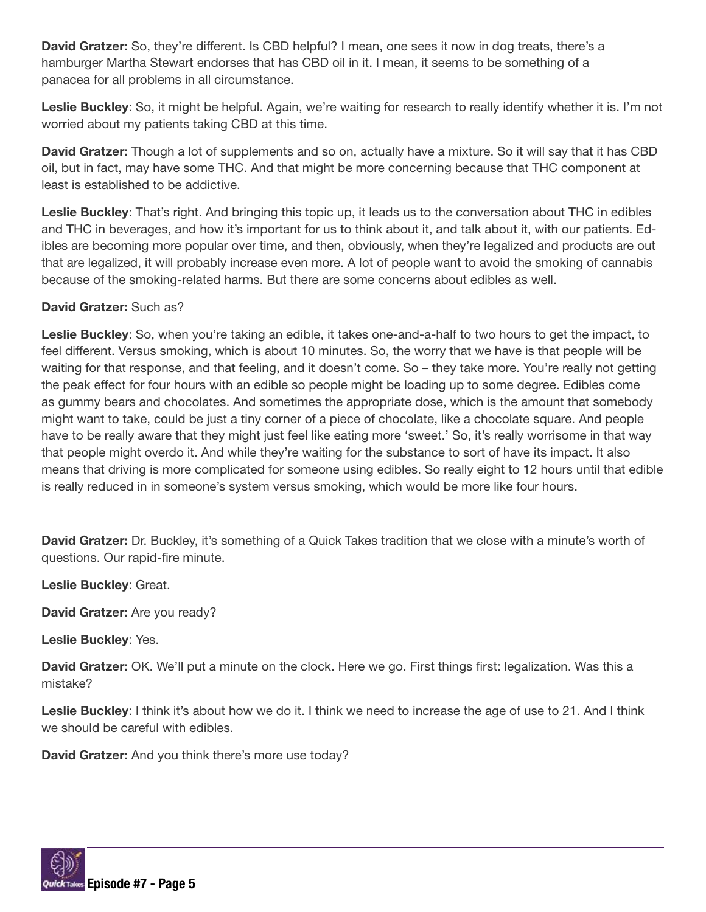David Gratzer: So, they're different. Is CBD helpful? I mean, one sees it now in dog treats, there's a hamburger Martha Stewart endorses that has CBD oil in it. I mean, it seems to be something of a panacea for all problems in all circumstance.

Leslie Buckley: So, it might be helpful. Again, we're waiting for research to really identify whether it is. I'm not worried about my patients taking CBD at this time.

David Gratzer: Though a lot of supplements and so on, actually have a mixture. So it will say that it has CBD oil, but in fact, may have some THC. And that might be more concerning because that THC component at least is established to be addictive.

Leslie Buckley: That's right. And bringing this topic up, it leads us to the conversation about THC in edibles and THC in beverages, and how it's important for us to think about it, and talk about it, with our patients. Edibles are becoming more popular over time, and then, obviously, when they're legalized and products are out that are legalized, it will probably increase even more. A lot of people want to avoid the smoking of cannabis because of the smoking-related harms. But there are some concerns about edibles as well.

## David Gratzer: Such as?

Leslie Buckley: So, when you're taking an edible, it takes one-and-a-half to two hours to get the impact, to feel different. Versus smoking, which is about 10 minutes. So, the worry that we have is that people will be waiting for that response, and that feeling, and it doesn't come. So – they take more. You're really not getting the peak effect for four hours with an edible so people might be loading up to some degree. Edibles come as gummy bears and chocolates. And sometimes the appropriate dose, which is the amount that somebody might want to take, could be just a tiny corner of a piece of chocolate, like a chocolate square. And people have to be really aware that they might just feel like eating more 'sweet.' So, it's really worrisome in that way that people might overdo it. And while they're waiting for the substance to sort of have its impact. It also means that driving is more complicated for someone using edibles. So really eight to 12 hours until that edible is really reduced in in someone's system versus smoking, which would be more like four hours.

David Gratzer: Dr. Buckley, it's something of a Quick Takes tradition that we close with a minute's worth of questions. Our rapid-fire minute.

Leslie Buckley: Great.

David Gratzer: Are you ready?

Leslie Buckley: Yes.

David Gratzer: OK. We'll put a minute on the clock. Here we go. First things first: legalization. Was this a mistake?

Leslie Buckley: I think it's about how we do it. I think we need to increase the age of use to 21. And I think we should be careful with edibles.

David Gratzer: And you think there's more use today?